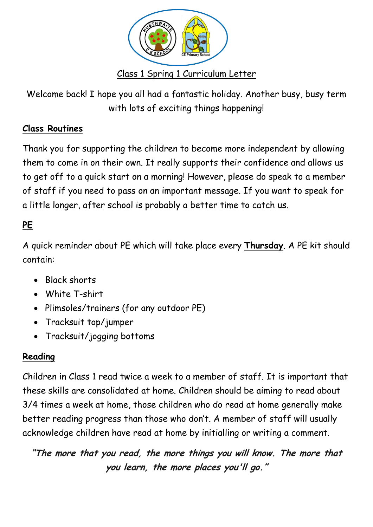

Welcome back! I hope you all had a fantastic holiday. Another busy, busy term with lots of exciting things happening!

# **Class Routines**

Thank you for supporting the children to become more independent by allowing them to come in on their own. It really supports their confidence and allows us to get off to a quick start on a morning! However, please do speak to a member of staff if you need to pass on an important message. If you want to speak for a little longer, after school is probably a better time to catch us.

# **PE**

A quick reminder about PE which will take place every **Thursday**. A PE kit should contain:

- Black shorts
- White T-shirt
- Plimsoles/trainers (for any outdoor PE)
- Tracksuit top/jumper
- Tracksuit/jogging bottoms

## **Reading**

Children in Class 1 read twice a week to a member of staff. It is important that these skills are consolidated at home. Children should be aiming to read about 3/4 times a week at home, those children who do read at home generally make better reading progress than those who don't. A member of staff will usually acknowledge children have read at home by initialling or writing a comment.

**"The more that you read, the more things you will know. The more that you learn, the more places you'll go."**